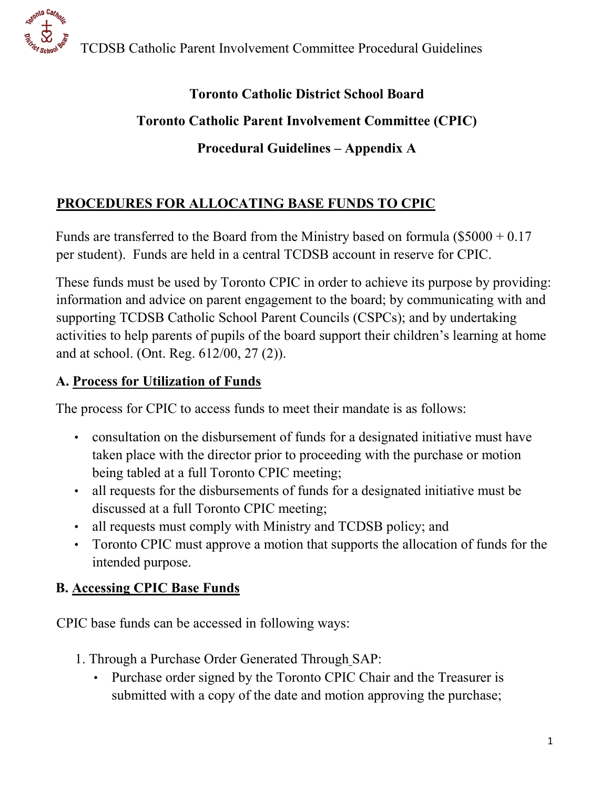

TCDSB Catholic Parent Involvement Committee Procedural Guidelines

# **Toronto Catholic District School Board Toronto Catholic Parent Involvement Committee (CPIC) Procedural Guidelines – Appendix A**

# **PROCEDURES FOR ALLOCATING BASE FUNDS TO CPIC**

Funds are transferred to the Board from the Ministry based on formula (\$5000 + 0.17 per student). Funds are held in a central TCDSB account in reserve for CPIC.

These funds must be used by Toronto CPIC in order to achieve its purpose by providing: information and advice on parent engagement to the board; by communicating with and supporting TCDSB Catholic School Parent Councils (CSPCs); and by undertaking activities to help parents of pupils of the board support their children's learning at home and at school. (Ont. Reg. 612/00, 27 (2)).

### **A. Process for Utilization of Funds**

The process for CPIC to access funds to meet their mandate is as follows:

- consultation on the disbursement of funds for a designated initiative must have taken place with the director prior to proceeding with the purchase or motion being tabled at a full Toronto CPIC meeting;
- all requests for the disbursements of funds for a designated initiative must be discussed at a full Toronto CPIC meeting;
- all requests must comply with Ministry and TCDSB policy; and
- Toronto CPIC must approve a motion that supports the allocation of funds for the intended purpose.

## **B. Accessing CPIC Base Funds**

CPIC base funds can be accessed in following ways:

- 1. Through a Purchase Order Generated Through SAP:
	- Purchase order signed by the Toronto CPIC Chair and the Treasurer is submitted with a copy of the date and motion approving the purchase;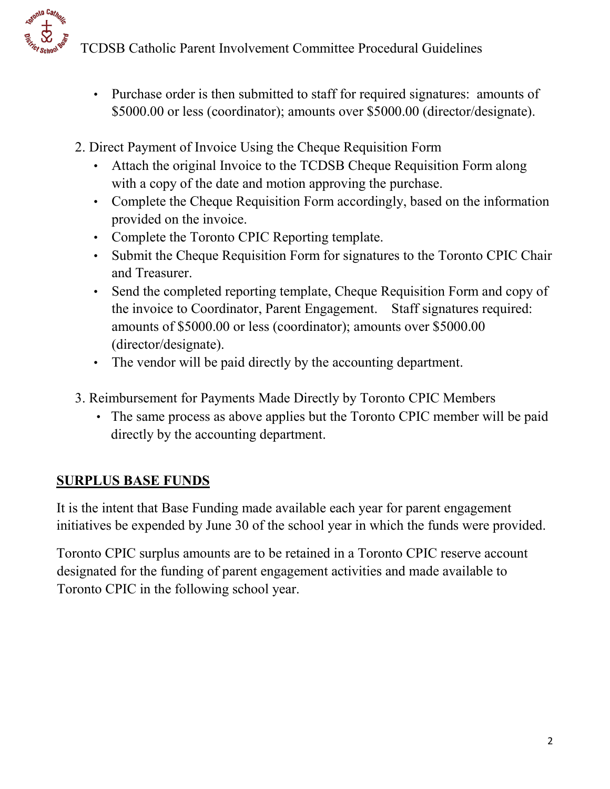

- Purchase order is then submitted to staff for required signatures: amounts of \$5000.00 or less (coordinator); amounts over \$5000.00 (director/designate).
- 2. Direct Payment of Invoice Using the Cheque Requisition Form
	- Attach the original Invoice to the TCDSB Cheque Requisition Form along with a copy of the date and motion approving the purchase.
	- Complete the Cheque Requisition Form accordingly, based on the information provided on the invoice.
	- Complete the Toronto CPIC Reporting template.
	- Submit the Cheque Requisition Form for signatures to the Toronto CPIC Chair and Treasurer.
	- Send the completed reporting template, Cheque Requisition Form and copy of the invoice to Coordinator, Parent Engagement. Staff signatures required: amounts of \$5000.00 or less (coordinator); amounts over \$5000.00 (director/designate).
	- The vendor will be paid directly by the accounting department.
- 3. Reimbursement for Payments Made Directly by Toronto CPIC Members
	- The same process as above applies but the Toronto CPIC member will be paid directly by the accounting department.

#### **SURPLUS BASE FUNDS**

**Ration Cathon**  $\ddot{\mathcal{Z}}$ 

> It is the intent that Base Funding made available each year for parent engagement initiatives be expended by June 30 of the school year in which the funds were provided.

Toronto CPIC surplus amounts are to be retained in a Toronto CPIC reserve account designated for the funding of parent engagement activities and made available to Toronto CPIC in the following school year.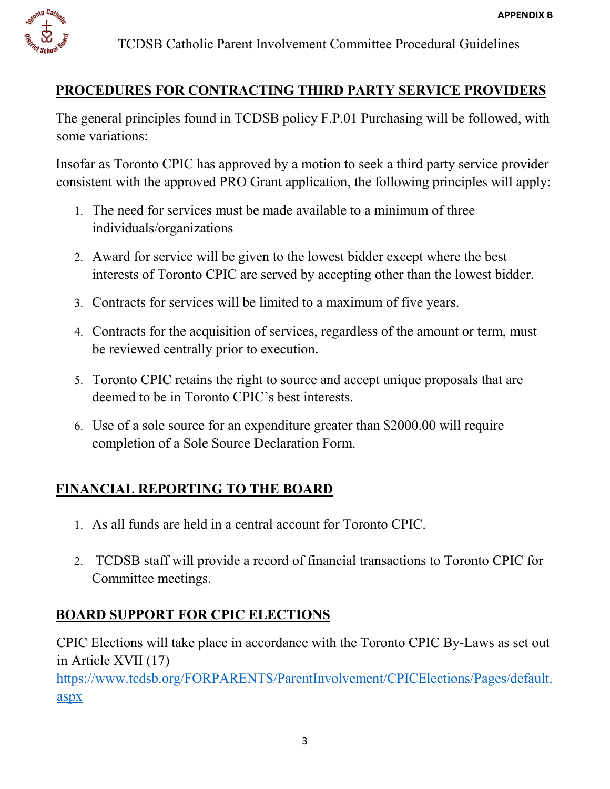

## **PROCEDURES FOR CONTRACTING THIRD PARTY SERVICE PROVIDERS**

The general principles found in TCDSB policy F.P.01 Purchasing will be followed, with some variations:

Insofar as Toronto CPIC has approved by a motion to seek a third party service provider consistent with the approved PRO Grant application, the following principles will apply:

- 1. The need for services must be made available to a minimum of three individuals/organizations
- 2. Award for service will be given to the lowest bidder except where the best interests of Toronto CPIC are served by accepting other than the lowest bidder.
- 3. Contracts for services will be limited to a maximum of five years.
- 4. Contracts for the acquisition of services, regardless of the amount or term, must be reviewed centrally prior to execution.
- 5. Toronto CPIC retains the right to source and accept unique proposals that are deemed to be in Toronto CPIC's best interests.
- 6. Use of a sole source for an expenditure greater than \$2000.00 will require completion of a Sole Source Declaration Form.

# **FINANCIAL REPORTING TO THE BOARD**

- 1. As all funds are held in a central account for Toronto CPIC.
- 2. TCDSB staff will provide a record of financial transactions to Toronto CPIC for Committee meetings.

## **BOARD SUPPORT FOR CPIC ELECTIONS**

CPIC Elections will take place in accordance with the Toronto CPIC By-Laws as set out in Article XVII (17)

[https://www.tcdsb.org/FORPARENTS/ParentInvolvement/CPICElections/Pages/default.](https://www.tcdsb.org/FORPARENTS/ParentInvolvement/CPICElections/Pages/default.aspx) [aspx](https://www.tcdsb.org/FORPARENTS/ParentInvolvement/CPICElections/Pages/default.aspx)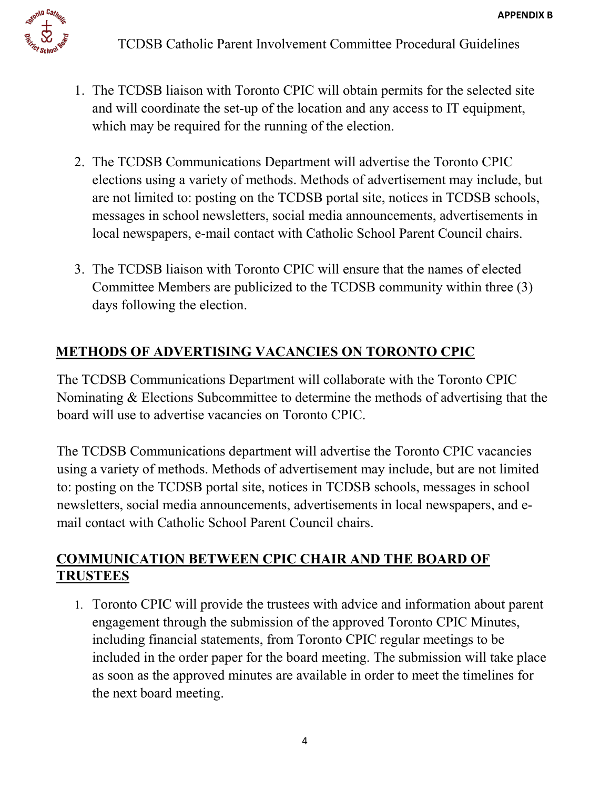

- 1. The TCDSB liaison with Toronto CPIC will obtain permits for the selected site and will coordinate the set-up of the location and any access to IT equipment, which may be required for the running of the election.
- 2. The TCDSB Communications Department will advertise the Toronto CPIC elections using a variety of methods. Methods of advertisement may include, but are not limited to: posting on the TCDSB portal site, notices in TCDSB schools, messages in school newsletters, social media announcements, advertisements in local newspapers, e-mail contact with Catholic School Parent Council chairs.
- 3. The TCDSB liaison with Toronto CPIC will ensure that the names of elected Committee Members are publicized to the TCDSB community within three (3) days following the election.

# **METHODS OF ADVERTISING VACANCIES ON TORONTO CPIC**

The TCDSB Communications Department will collaborate with the Toronto CPIC Nominating & Elections Subcommittee to determine the methods of advertising that the board will use to advertise vacancies on Toronto CPIC.

The TCDSB Communications department will advertise the Toronto CPIC vacancies using a variety of methods. Methods of advertisement may include, but are not limited to: posting on the TCDSB portal site, notices in TCDSB schools, messages in school newsletters, social media announcements, advertisements in local newspapers, and email contact with Catholic School Parent Council chairs.

#### **COMMUNICATION BETWEEN CPIC CHAIR AND THE BOARD OF TRUSTEES**

1. Toronto CPIC will provide the trustees with advice and information about parent engagement through the submission of the approved Toronto CPIC Minutes, including financial statements, from Toronto CPIC regular meetings to be included in the order paper for the board meeting. The submission will take place as soon as the approved minutes are available in order to meet the timelines for the next board meeting.